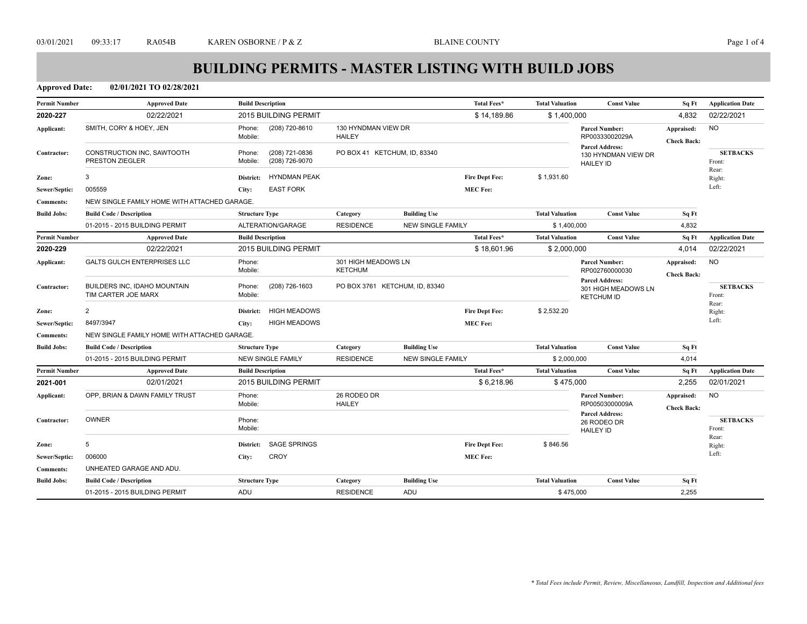**Approved Date: 02/01/2021 TO 02/28/2021**

| <b>Permit Number</b> | <b>Approved Date</b>                                | <b>Build Description</b>                              |                                                                                                   |                          | Total Fees*           | <b>Total Valuation</b>    | <b>Const Value</b>                       | Sq Ft                            | <b>Application Date</b>   |
|----------------------|-----------------------------------------------------|-------------------------------------------------------|---------------------------------------------------------------------------------------------------|--------------------------|-----------------------|---------------------------|------------------------------------------|----------------------------------|---------------------------|
| 2020-227             | 02/22/2021                                          | 2015 BUILDING PERMIT                                  |                                                                                                   |                          | \$14,189.86           | \$1,400,000               |                                          | 4,832                            | 02/22/2021                |
| Applicant:           | SMITH, CORY & HOEY, JEN                             | Phone:<br>(208) 720-8610<br>Mobile:                   | 130 HYNDMAN VIEW DR<br><b>HAILEY</b>                                                              |                          |                       |                           | <b>Parcel Number:</b><br>RP00333002029A  | Appraised:<br><b>Check Back:</b> | <b>NO</b>                 |
| Contractor:          | CONSTRUCTION INC, SAWTOOTH<br>PRESTON ZIEGLER       | (208) 721-0836<br>Phone:<br>Mobile:<br>(208) 726-9070 | <b>Parcel Address:</b><br>PO BOX 41 KETCHUM, ID, 83340<br>130 HYNDMAN VIEW DR<br><b>HAILEY ID</b> |                          |                       | <b>SETBACKS</b><br>Front: |                                          |                                  |                           |
| Zone:                | 3                                                   | <b>HYNDMAN PEAK</b><br>District:                      |                                                                                                   |                          | <b>Fire Dept Fee:</b> | \$1,931.60                |                                          |                                  | Rear:<br>Right:           |
| Sewer/Septic:        | 005559                                              | <b>EAST FORK</b><br>City:                             |                                                                                                   |                          | <b>MEC Fee:</b>       |                           |                                          |                                  | Left:                     |
| <b>Comments:</b>     | NEW SINGLE FAMILY HOME WITH ATTACHED GARAGE.        |                                                       |                                                                                                   |                          |                       |                           |                                          |                                  |                           |
| <b>Build Jobs:</b>   | <b>Build Code / Description</b>                     | <b>Structure Type</b>                                 | Category                                                                                          | <b>Building Use</b>      |                       | <b>Total Valuation</b>    | <b>Const Value</b>                       | Sq Ft                            |                           |
|                      | 01-2015 - 2015 BUILDING PERMIT                      | ALTERATION/GARAGE                                     | <b>RESIDENCE</b>                                                                                  | <b>NEW SINGLE FAMILY</b> |                       | \$1,400,000               |                                          | 4,832                            |                           |
| <b>Permit Number</b> | <b>Approved Date</b>                                | <b>Build Description</b>                              |                                                                                                   |                          | Total Fees*           | <b>Total Valuation</b>    | <b>Const Value</b>                       | Sq Ft                            | <b>Application Date</b>   |
| 2020-229             | 02/22/2021                                          | 2015 BUILDING PERMIT                                  |                                                                                                   |                          | \$18,601.96           | \$2,000,000               |                                          | 4,014                            | 02/22/2021                |
| Applicant:           | <b>GALTS GULCH ENTERPRISES LLC</b>                  | Phone:                                                |                                                                                                   | 301 HIGH MEADOWS LN      |                       |                           |                                          | Appraised:                       | <b>NO</b>                 |
|                      |                                                     | Mobile:                                               | <b>KETCHUM</b>                                                                                    |                          |                       |                           | RP002760000030<br><b>Parcel Address:</b> | <b>Check Back:</b>               |                           |
| Contractor:          | BUILDERS INC, IDAHO MOUNTAIN<br>TIM CARTER JOE MARX | (208) 726-1603<br>Phone:<br>Mobile:                   | PO BOX 3761 KETCHUM, ID, 83340                                                                    |                          |                       |                           | 301 HIGH MEADOWS LN<br><b>KETCHUM ID</b> |                                  | <b>SETBACKS</b><br>Front: |
| Zone:                | 2                                                   | <b>HIGH MEADOWS</b><br>District:                      |                                                                                                   |                          | <b>Fire Dept Fee:</b> | \$2,532.20                |                                          |                                  | Rear:<br>Right:           |
| Sewer/Septic:        | 8497/3947                                           | <b>HIGH MEADOWS</b><br>City:                          |                                                                                                   |                          | <b>MEC Fee:</b>       |                           |                                          |                                  | Left:                     |
| <b>Comments:</b>     | NEW SINGLE FAMILY HOME WITH ATTACHED GARAGE.        |                                                       |                                                                                                   |                          |                       |                           |                                          |                                  |                           |
| <b>Build Jobs:</b>   | <b>Build Code / Description</b>                     | <b>Structure Type</b>                                 | Category                                                                                          | <b>Building Use</b>      |                       | <b>Total Valuation</b>    | <b>Const Value</b>                       | Sq Ft                            |                           |
|                      | 01-2015 - 2015 BUILDING PERMIT                      | <b>NEW SINGLE FAMILY</b>                              | <b>RESIDENCE</b>                                                                                  | <b>NEW SINGLE FAMILY</b> |                       | \$2,000,000               |                                          | 4,014                            |                           |
| <b>Permit Number</b> | <b>Approved Date</b>                                | <b>Build Description</b>                              |                                                                                                   |                          | Total Fees*           | <b>Total Valuation</b>    | <b>Const Value</b>                       | Sq Ft                            | <b>Application Date</b>   |
| 2021-001             | 02/01/2021                                          | 2015 BUILDING PERMIT                                  |                                                                                                   |                          | \$6,218.96            | \$475,000                 |                                          | 2,255                            | 02/01/2021                |
| Applicant:           | OPP. BRIAN & DAWN FAMILY TRUST                      | Phone:                                                | 26 RODEO DR                                                                                       |                          |                       |                           | <b>Parcel Number:</b>                    | Appraised:                       | <b>NO</b>                 |
|                      |                                                     | Mobile:                                               | <b>HAILEY</b>                                                                                     |                          |                       |                           | RP00503000009A<br><b>Parcel Address:</b> | <b>Check Back:</b>               |                           |
| Contractor:          | <b>OWNER</b>                                        | Phone:                                                |                                                                                                   |                          |                       |                           | 26 RODEO DR                              |                                  | <b>SETBACKS</b>           |
|                      |                                                     | Mobile:                                               |                                                                                                   |                          |                       |                           | <b>HAILEY ID</b>                         |                                  | Front:<br>Rear:           |
| Zone:                | 5                                                   | <b>SAGE SPRINGS</b><br>District:                      |                                                                                                   |                          | Fire Dept Fee:        | \$846.56                  |                                          |                                  | Right:                    |
| Sewer/Septic:        | 006000                                              | <b>CROY</b><br>City:                                  |                                                                                                   |                          | <b>MEC Fee:</b>       |                           |                                          |                                  | Left:                     |
| <b>Comments:</b>     | UNHEATED GARAGE AND ADU.                            |                                                       |                                                                                                   |                          |                       |                           |                                          |                                  |                           |
| <b>Build Jobs:</b>   | <b>Build Code / Description</b>                     | <b>Structure Type</b>                                 | Category                                                                                          | <b>Building Use</b>      |                       | <b>Total Valuation</b>    | <b>Const Value</b>                       | Sq Ft                            |                           |
|                      | 01-2015 - 2015 BUILDING PERMIT                      | ADU                                                   | <b>RESIDENCE</b>                                                                                  | ADU                      |                       | \$475,000                 |                                          | 2,255                            |                           |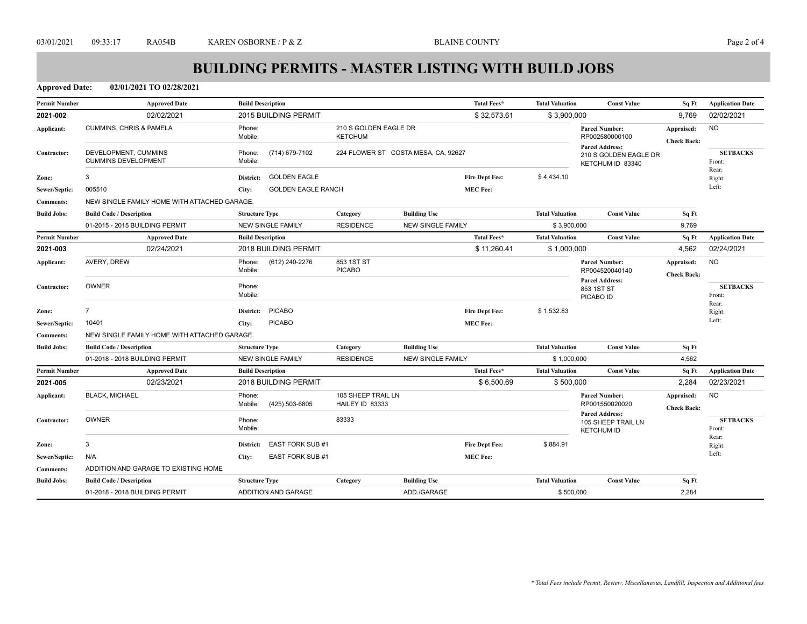**Approved Date: 02/01/2021 TO 02/28/2021**

| <b>Permit Number</b> | <b>Approved Date</b>                               | <b>Build Description</b>             |                                         |                                     | Total Fees*           | <b>Total Valuation</b> | <b>Const Value</b>                                                  | Sq Ft                            | <b>Application Date</b>   |
|----------------------|----------------------------------------------------|--------------------------------------|-----------------------------------------|-------------------------------------|-----------------------|------------------------|---------------------------------------------------------------------|----------------------------------|---------------------------|
| 2021-002             | 02/02/2021                                         | 2015 BUILDING PERMIT                 |                                         |                                     | \$32,573.61           | \$3,900,000            |                                                                     | 9,769                            | 02/02/2021                |
| Applicant:           | <b>CUMMINS, CHRIS &amp; PAMELA</b>                 | Phone:<br>Mobile:                    | 210 S GOLDEN EAGLE DR<br><b>KETCHUM</b> |                                     |                       |                        | <b>Parcel Number:</b><br>RP002580000100                             | Appraised:<br><b>Check Back:</b> | <b>NO</b>                 |
| Contractor:          | DEVELOPMENT, CUMMINS<br><b>CUMMINS DEVELOPMENT</b> | (714) 679-7102<br>Phone:<br>Mobile:  |                                         | 224 FLOWER ST COSTA MESA, CA, 92627 |                       |                        | <b>Parcel Address:</b><br>210 S GOLDEN EAGLE DR<br>KETCHUM ID 83340 |                                  | <b>SETBACKS</b><br>Front: |
| Zone:                | 3                                                  | <b>GOLDEN EAGLE</b><br>District:     |                                         |                                     | <b>Fire Dept Fee:</b> | \$4,434.10             |                                                                     |                                  | Rear:<br>Right:           |
| Sewer/Septic:        | 005510                                             | <b>GOLDEN EAGLE RANCH</b><br>City:   |                                         |                                     | <b>MEC Fee:</b>       |                        |                                                                     |                                  | Left:                     |
| <b>Comments:</b>     | NEW SINGLE FAMILY HOME WITH ATTACHED GARAGE.       |                                      |                                         |                                     |                       |                        |                                                                     |                                  |                           |
| <b>Build Jobs:</b>   | <b>Build Code / Description</b>                    | <b>Structure Type</b>                | Category                                | <b>Building Use</b>                 |                       | <b>Total Valuation</b> | <b>Const Value</b>                                                  | Sq Ft                            |                           |
|                      | 01-2015 - 2015 BUILDING PERMIT                     | <b>NEW SINGLE FAMILY</b>             | <b>RESIDENCE</b>                        | <b>NEW SINGLE FAMILY</b>            |                       | \$3,900,000            |                                                                     | 9,769                            |                           |
| <b>Permit Number</b> | <b>Approved Date</b>                               | <b>Build Description</b>             |                                         |                                     | Total Fees*           | <b>Total Valuation</b> | <b>Const Value</b>                                                  | Sq Ft                            | <b>Application Date</b>   |
| 2021-003             | 02/24/2021                                         | 2018 BUILDING PERMIT                 |                                         |                                     | \$11,260.41           | \$1,000,000            |                                                                     | 4,562                            | 02/24/2021                |
| Applicant:           | AVERY, DREW                                        | Phone:<br>(612) 240-2276<br>Mobile:  | 853 1ST ST<br><b>PICABO</b>             |                                     |                       |                        | <b>Parcel Number:</b><br>RP004520040140                             | Appraised:<br><b>Check Back:</b> | <b>NO</b>                 |
| Contractor:          | <b>OWNER</b>                                       | Phone:<br>Mobile:                    |                                         |                                     |                       |                        | <b>Parcel Address:</b><br>853 1ST ST<br>PICABO ID                   |                                  | <b>SETBACKS</b><br>Front: |
| Zone:                | $\overline{7}$                                     | <b>PICABO</b><br>District:           |                                         |                                     | <b>Fire Dept Fee:</b> | \$1,532.83             |                                                                     |                                  | Rear:<br>Right:           |
| Sewer/Septic:        | 10401                                              | <b>PICABO</b><br>City:               |                                         |                                     | <b>MEC Fee:</b>       |                        |                                                                     |                                  | Left:                     |
| <b>Comments:</b>     | NEW SINGLE FAMILY HOME WITH ATTACHED GARAGE.       |                                      |                                         |                                     |                       |                        |                                                                     |                                  |                           |
| <b>Build Jobs:</b>   | <b>Build Code / Description</b>                    | <b>Structure Type</b>                | Category                                | <b>Building Use</b>                 |                       | <b>Total Valuation</b> | <b>Const Value</b>                                                  | Sq Ft                            |                           |
|                      | 01-2018 - 2018 BUILDING PERMIT                     | <b>NEW SINGLE FAMILY</b>             | <b>RESIDENCE</b>                        | <b>NEW SINGLE FAMILY</b>            |                       | \$1,000,000            |                                                                     | 4,562                            |                           |
| <b>Permit Number</b> | <b>Approved Date</b>                               | <b>Build Description</b>             |                                         |                                     | <b>Total Fees*</b>    | <b>Total Valuation</b> | <b>Const Value</b>                                                  | Sq Ft                            | <b>Application Date</b>   |
| 2021-005             | 02/23/2021                                         | <b>2018 BUILDING PERMIT</b>          |                                         |                                     | \$6,500.69            | \$500,000              |                                                                     | 2,284                            | 02/23/2021                |
| Applicant:           | <b>BLACK, MICHAEL</b>                              | Phone:<br>Mobile:<br>(425) 503-6805  | 105 SHEEP TRAIL LN<br>HAILEY ID 83333   |                                     |                       |                        | <b>Parcel Number:</b><br>RP001550020020                             | Appraised:<br><b>Check Back:</b> | NO.                       |
| Contractor:          | <b>OWNER</b>                                       | Phone:<br>Mobile:                    | 83333                                   |                                     |                       |                        | <b>Parcel Address:</b><br>105 SHEEP TRAIL LN<br><b>KETCHUM ID</b>   |                                  | <b>SETBACKS</b><br>Front: |
| Zone:                | 3                                                  | <b>EAST FORK SUB #1</b><br>District: |                                         |                                     | Fire Dept Fee:        | \$884.91               |                                                                     |                                  | Rear:<br>Right:           |
| Sewer/Septic:        | N/A                                                | EAST FORK SUB #1<br>City:            |                                         |                                     | <b>MEC Fee:</b>       |                        |                                                                     |                                  | Left:                     |
| <b>Comments:</b>     | ADDITION AND GARAGE TO EXISTING HOME               |                                      |                                         |                                     |                       |                        |                                                                     |                                  |                           |
| <b>Build Jobs:</b>   | <b>Build Code / Description</b>                    | <b>Structure Type</b>                | Category                                | <b>Building Use</b>                 |                       | <b>Total Valuation</b> | <b>Const Value</b>                                                  | Sq Ft                            |                           |
|                      | 01-2018 - 2018 BUILDING PERMIT                     | ADDITION AND GARAGE                  |                                         | ADD./GARAGE                         |                       | \$500,000              |                                                                     | 2,284                            |                           |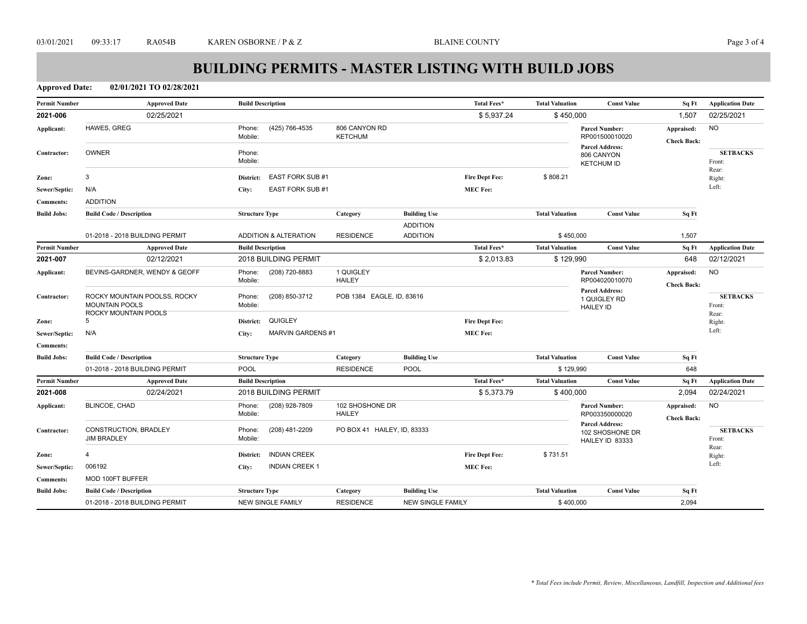**Approved Date: 02/01/2021 TO 02/28/2021**

| <b>Permit Number</b> | <b>Approved Date</b>                                                          | <b>Build Description</b>            |                                  |                          | <b>Total Fees*</b>    | <b>Total Valuation</b> | <b>Const Value</b>                                           | Sq Ft                            | <b>Application Date</b>            |
|----------------------|-------------------------------------------------------------------------------|-------------------------------------|----------------------------------|--------------------------|-----------------------|------------------------|--------------------------------------------------------------|----------------------------------|------------------------------------|
| 2021-006             | 02/25/2021                                                                    |                                     |                                  |                          | \$5,937.24            | \$450,000              |                                                              | 1,507                            | 02/25/2021                         |
| Applicant:           | HAWES, GREG                                                                   | (425) 766-4535<br>Phone:<br>Mobile: | 806 CANYON RD<br><b>KETCHUM</b>  |                          |                       |                        | <b>Parcel Number:</b><br>RP001500010020                      | Appraised:<br><b>Check Back:</b> | <b>NO</b>                          |
| Contractor:          | <b>OWNER</b>                                                                  | Phone:<br>Mobile:                   |                                  |                          |                       |                        | <b>Parcel Address:</b><br>806 CANYON<br><b>KETCHUM ID</b>    |                                  | <b>SETBACKS</b><br>Front:<br>Rear: |
| Zone:                | 3                                                                             | EAST FORK SUB #1<br>District:       |                                  |                          | <b>Fire Dept Fee:</b> | \$808.21               |                                                              |                                  | Right:                             |
| Sewer/Septic:        | N/A                                                                           | EAST FORK SUB #1<br>City:           |                                  |                          | <b>MEC Fee:</b>       |                        |                                                              |                                  | Left:                              |
| <b>Comments:</b>     | <b>ADDITION</b>                                                               |                                     |                                  |                          |                       |                        |                                                              |                                  |                                    |
| <b>Build Jobs:</b>   | <b>Build Code / Description</b>                                               | <b>Structure Type</b>               | Category                         | <b>Building Use</b>      |                       | <b>Total Valuation</b> | <b>Const Value</b>                                           | Sq Ft                            |                                    |
|                      |                                                                               |                                     |                                  | <b>ADDITION</b>          |                       |                        |                                                              |                                  |                                    |
|                      | 01-2018 - 2018 BUILDING PERMIT                                                | <b>ADDITION &amp; ALTERATION</b>    | <b>RESIDENCE</b>                 | <b>ADDITION</b>          |                       | \$450,000              |                                                              | 1,507                            |                                    |
| <b>Permit Number</b> | <b>Approved Date</b>                                                          | <b>Build Description</b>            |                                  |                          | Total Fees*           | <b>Total Valuation</b> | <b>Const Value</b>                                           | Sq Ft                            | <b>Application Date</b>            |
| 2021-007             | 02/12/2021                                                                    | 2018 BUILDING PERMIT                |                                  |                          | \$2,013.83            | \$129,990              |                                                              | 648                              | 02/12/2021                         |
| Applicant:           | BEVINS-GARDNER, WENDY & GEOFF                                                 | (208) 720-8883<br>Phone:<br>Mobile: | 1 QUIGLEY<br><b>HAILEY</b>       |                          |                       |                        | <b>Parcel Number:</b><br>RP004020010070                      | Appraised:<br><b>Check Back:</b> | <b>NO</b>                          |
| Contractor:          | ROCKY MOUNTAIN POOLSS, ROCKY<br><b>MOUNTAIN POOLS</b><br>ROCKY MOUNTAIN POOLS | (208) 850-3712<br>Phone:<br>Mobile: | POB 1384 EAGLE, ID, 83616        |                          |                       |                        | <b>Parcel Address:</b><br>1 QUIGLEY RD<br><b>HAILEY ID</b>   |                                  | <b>SETBACKS</b><br>Front:<br>Rear: |
| Zone:                | 5                                                                             | QUIGLEY<br>District:                |                                  |                          | <b>Fire Dept Fee:</b> |                        |                                                              |                                  | Right:                             |
| Sewer/Septic:        | N/A                                                                           | MARVIN GARDENS #1<br>City:          |                                  |                          | <b>MEC Fee:</b>       |                        |                                                              |                                  | Left:                              |
| <b>Comments:</b>     |                                                                               |                                     |                                  |                          |                       |                        |                                                              |                                  |                                    |
| <b>Build Jobs:</b>   | <b>Build Code / Description</b>                                               | <b>Structure Type</b>               | Category                         | <b>Building Use</b>      |                       | <b>Total Valuation</b> | <b>Const Value</b>                                           | Sq Ft                            |                                    |
|                      | 01-2018 - 2018 BUILDING PERMIT                                                | <b>POOL</b>                         | <b>RESIDENCE</b>                 | <b>POOL</b>              |                       | \$129,990              |                                                              | 648                              |                                    |
| <b>Permit Number</b> | <b>Approved Date</b>                                                          | <b>Build Description</b>            |                                  |                          | <b>Total Fees*</b>    | <b>Total Valuation</b> | <b>Const Value</b>                                           | Sq Ft                            | <b>Application Date</b>            |
| 2021-008             | 02/24/2021                                                                    | 2018 BUILDING PERMIT                |                                  |                          | \$5,373.79            | \$400,000              |                                                              | 2,094                            | 02/24/2021                         |
| Applicant:           | BLINCOE, CHAD                                                                 | (208) 928-7809<br>Phone:<br>Mobile: | 102 SHOSHONE DR<br><b>HAILEY</b> |                          |                       |                        | <b>Parcel Number:</b><br>RP003350000020                      | Appraised:<br><b>Check Back:</b> | <b>NO</b>                          |
| Contractor:          | CONSTRUCTION, BRADLEY<br><b>JIM BRADLEY</b>                                   | (208) 481-2209<br>Phone:<br>Mobile: | PO BOX 41 HAILEY, ID, 83333      |                          |                       |                        | <b>Parcel Address:</b><br>102 SHOSHONE DR<br>HAILEY ID 83333 |                                  | <b>SETBACKS</b><br>Front:          |
| Zone:                | $\overline{4}$                                                                | <b>INDIAN CREEK</b><br>District:    |                                  |                          | <b>Fire Dept Fee:</b> | \$731.51               |                                                              |                                  | Rear:<br>Right:                    |
| Sewer/Septic:        | 006192                                                                        | <b>INDIAN CREEK 1</b><br>City:      |                                  |                          | <b>MEC Fee:</b>       |                        |                                                              |                                  | Left:                              |
| <b>Comments:</b>     | MOD 100FT BUFFER                                                              |                                     |                                  |                          |                       |                        |                                                              |                                  |                                    |
| <b>Build Jobs:</b>   | <b>Build Code / Description</b>                                               | <b>Structure Type</b>               | Category                         | <b>Building Use</b>      |                       | <b>Total Valuation</b> | <b>Const Value</b>                                           | Sq Ft                            |                                    |
|                      | 01-2018 - 2018 BUILDING PERMIT                                                | <b>NEW SINGLE FAMILY</b>            | <b>RESIDENCE</b>                 | <b>NEW SINGLE FAMILY</b> |                       | \$400,000              |                                                              | 2,094                            |                                    |